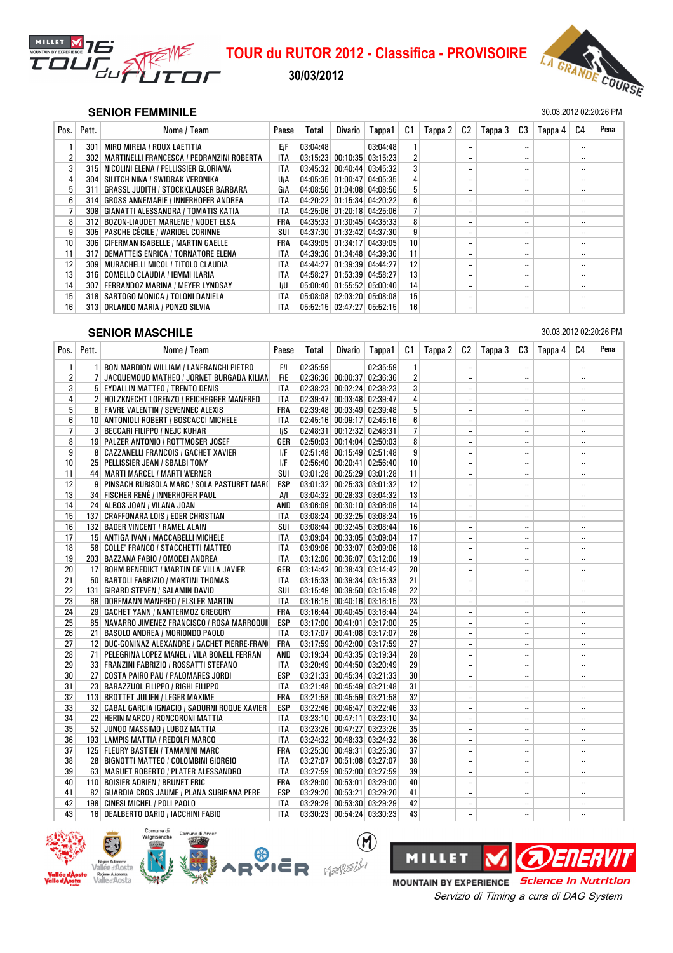

## 30/03/2012



### **SENIOR FEMMINILE** 30.03.2012 02:20:26 PM

| Pos. | Pett.            | Nome / Team                                 | Paese      | Total    | Divario | Tappa1                               | C1              | Tappa 2 | C2                       | Tappa 3 | C3                       | Tappa 4 | C4                       | Pena |
|------|------------------|---------------------------------------------|------------|----------|---------|--------------------------------------|-----------------|---------|--------------------------|---------|--------------------------|---------|--------------------------|------|
|      | 301              | MIRO MIREIA / ROUX LAETITIA                 | <b>E/F</b> | 03:04:48 |         | 03:04:48                             |                 |         | $\overline{\phantom{a}}$ |         | $\overline{\phantom{a}}$ |         | $\ddotsc$                |      |
| 2    | 302              | MARTINELLI FRANCESCA / PEDRANZINI ROBERTA   | <b>ITA</b> |          |         | $03:15:23$ 00:10:35 03:15:23         | 2               |         | $\overline{\phantom{a}}$ |         | $\overline{\phantom{a}}$ |         | $\overline{\phantom{a}}$ |      |
| 3    | 315              | NICOLINI ELENA / PELLISSIER GLORIANA        | <b>ITA</b> |          |         | $03:45:32$ 00:40:44 03:45:32         | 3               |         | $\cdot$ .                |         | $\blacksquare$           |         | $\overline{\phantom{a}}$ |      |
| 4    | 304              | SILITCH NINA / SWIDRAK VERONIKA             | <b>U/A</b> |          |         | 04:05:35 01:00:47 04:05:35           | 4               |         | $\overline{\phantom{a}}$ |         | $\overline{\phantom{a}}$ |         | $\overline{\phantom{a}}$ |      |
| 5    | 311              | <b>GRASSL JUDITH / STOCKKLAUSER BARBARA</b> | GIA        |          |         | 04:08:56 01:04:08 04:08:56           | 5               |         | $\overline{\phantom{a}}$ |         | $\overline{\phantom{a}}$ |         | $\overline{\phantom{a}}$ |      |
| 6    | 314              | <b>GROSS ANNEMARIE / INNERHOFER ANDREA</b>  | <b>ITA</b> |          |         | 04:20:22 01:15:34 04:20:22           | 6               |         | $\overline{\phantom{a}}$ |         | $\overline{\phantom{a}}$ |         | $\overline{\phantom{a}}$ |      |
| 7    | 308 <sup>1</sup> | GIANATTI ALESSANDRA / TOMATIS KATIA         | <b>ITA</b> |          |         | 04:25:06 01:20:18 04:25:06           |                 |         | $\overline{\phantom{a}}$ |         | $\overline{\phantom{a}}$ |         | $\cdot$ .                |      |
| 8    | 312              | <b>BOZON-LIAUDET MARLENE / NODET ELSA</b>   | FRA        |          |         | 04:35:33 01:30:45 04:35:33           | 8               |         | $\overline{\phantom{a}}$ |         | $\overline{\phantom{a}}$ |         | $\overline{\phantom{a}}$ |      |
| 9    |                  | 305   PASCHE CÉCILE / WARIDEL CORINNE       | SUI        |          |         | 04:37:30 01:32:42 04:37:30           | 9               |         | $\overline{\phantom{a}}$ |         | $\overline{\phantom{a}}$ |         | $\overline{\phantom{a}}$ |      |
| 10   | 306 <sup>1</sup> | <b>CIFERMAN ISABELLE / MARTIN GAELLE</b>    | FRA        |          |         | 04:39:05 01:34:17 04:39:05           | 10              |         | $\overline{\phantom{a}}$ |         | $\overline{\phantom{a}}$ |         | $\overline{\phantom{a}}$ |      |
| 11   | 317              | DEMATTEIS ENRICA / TORNATORE ELENA          | <b>ITA</b> |          |         | 04:39:36 01:34:48 04:39:36           | 11              |         | $\overline{\phantom{a}}$ |         |                          |         | $\overline{\phantom{a}}$ |      |
| 12   | 309              | MURACHELLI MICOL / TITOLO CLAUDIA           | <b>ITA</b> |          |         | 04:44:27 01:39:39 04:44:27           | 12              |         | $\overline{\phantom{a}}$ |         | $\overline{\phantom{a}}$ |         | $\ddotsc$                |      |
| 13   | 316              | COMELLO CLAUDIA / IEMMI ILARIA              | <b>ITA</b> |          |         | 04:58:27 01:53:39 04:58:27           | 13              |         | $\overline{\phantom{a}}$ |         | $\overline{\phantom{a}}$ |         | $\overline{\phantom{a}}$ |      |
| 14   | 307              | FERRANDOZ MARINA / MEYER LYNDSAY            | I/U        |          |         | $05:00:40$ 01:55:52 05:00:40         | 14              |         | $\cdot$ .                |         | $\overline{\phantom{a}}$ |         | $\overline{\phantom{a}}$ |      |
| 15   | 318              | SARTOGO MONICA / TOLONI DANIELA             | ITA        |          |         | $05:08:08$   $02:03:20$   $05:08:08$ | 15 <sub>1</sub> |         | $\cdot$ .                |         | $\overline{\phantom{a}}$ |         | $\overline{\phantom{a}}$ |      |
| 16   | 313              | ORLANDO MARIA / PONZO SILVIA                | <b>ITA</b> |          |         | 05:52:15 02:47:27 05:52:15           | 16              |         | $\overline{\phantom{a}}$ |         | $\overline{\phantom{a}}$ |         | $\ddotsc$                |      |

## SEH **SENIOR MASCHILE** 30.03.2012 02:20:26 PM

| Pos.           | Pett. | Nome / Team                                      | Paese      | Total                      | Divario                      | Tappa1   | C1             | Tappa 2 | C2                       | Tappa 3 | C3                       | Tappa 4 | C <sub>4</sub>       | Pena |
|----------------|-------|--------------------------------------------------|------------|----------------------------|------------------------------|----------|----------------|---------|--------------------------|---------|--------------------------|---------|----------------------|------|
| $\mathbf{1}$   |       | 1 BON MARDION WILLIAM / LANFRANCHI PIETRO        | F/I        | 02:35:59                   |                              | 02:35:59 | $\mathbf{1}$   |         | $\ddotsc$                |         |                          |         |                      |      |
| $\overline{2}$ |       | 7 JACQUEMOUD MATHEO / JORNET BURGADA KILIAN      | <b>F/E</b> |                            | $02:36:36$ 00:00:37 02:36:36 |          | $\overline{2}$ |         | $\ldots$                 |         | $\overline{\phantom{a}}$ |         | $\ddotsc$            |      |
| 3 <sup>1</sup> |       | 5 EYDALLIN MATTEO / TRENTO DENIS                 | ITA        |                            | $02:38:23$ 00:02:24 02:38:23 |          | 3              |         | $\ddotsc$                |         |                          |         |                      |      |
| $\overline{4}$ |       | 2 HOLZKNECHT LORENZO / REICHEGGER MANFRED        | <b>ITA</b> |                            | 02:39:47 00:03:48 02:39:47   |          | 4              |         | $\overline{\phantom{a}}$ |         | $\ddotsc$                |         |                      |      |
| 5 <sup>1</sup> |       | 6 FAVRE VALENTIN / SEVENNEC ALEXIS               | <b>FRA</b> |                            | 02:39:48 00:03:49 02:39:48   |          | 5              |         | $\ldots$                 |         | $\overline{\phantom{a}}$ |         | $\ddotsc$            |      |
| 6              |       | 10   ANTONIOLI ROBERT / BOSCACCI MICHELE         | <b>ITA</b> |                            | 02:45:16 00:09:17 02:45:16   |          | 6              |         | $\ddotsc$                |         | $\ldots$                 |         |                      |      |
| $\overline{7}$ |       | 3 BECCARI FILIPPO / NEJC KUHAR                   | I/S        |                            | 02:48:31 00:12:32 02:48:31   |          | $\overline{7}$ |         | $\ddotsc$                |         |                          |         |                      |      |
| 8              |       | 19 PALZER ANTONIO / ROTTMOSER JOSEF              | GER        |                            | $02:50:03$ 00:14:04 02:50:03 |          | 8              |         | $\ldots$                 |         | $\ddotsc$                |         |                      |      |
| 9              |       | 8 CAZZANELLI FRANCOIS / GACHET XAVIER            | IIF        |                            | 02:51:48 00:15:49 02:51:48   |          | 9              |         | $\ddotsc$                |         | $\ldots$                 |         |                      |      |
| 10             |       | 25 PELLISSIER JEAN / SBALBI TONY                 | ΙIΕ        |                            | 02:56:40 00:20:41 02:56:40   |          | 10             |         | $\ddotsc$                |         |                          |         |                      |      |
| 11             |       | 44 MARTI MARCEL / MARTI WERNER                   | SUI        |                            | 03:01:28 00:25:29 03:01:28   |          | 11             |         | $\ddotsc$                |         | $\ddotsc$                |         |                      |      |
| 12             |       | 9 PINSACH RUBISOLA MARC / SOLA PASTURET MARI     | <b>ESP</b> |                            | $03:01:32$ 00:25:33 03:01:32 |          | 12             |         | $\ldots$                 |         | $\ddotsc$                |         |                      |      |
| 13             |       | 34 FISCHER RENÉ / INNERHOFER PAUL                | A/I        |                            | 03:04:32 00:28:33 03:04:32   |          | 13             |         | $\ddotsc$                |         |                          |         |                      |      |
| 14             |       | 24 ALBOS JOAN / VILANA JOAN                      | AND        |                            | 03:06:09 00:30:10 03:06:09   |          | 14             |         | $\ddotsc$                |         | $\ddotsc$                |         |                      |      |
| 15             |       | 137 CRAFFONARA LOIS / EDER CHRISTIAN             | ITA        |                            | 03:08:24 00:32:25 03:08:24   |          | 15             |         | $\ldots$                 |         | $\ldots$                 |         | $\ddot{\phantom{0}}$ |      |
| 16             |       | 132 BADER VINCENT / RAMEL ALAIN                  | SUI        |                            | 03:08:44 00:32:45 03:08:44   |          | 16             |         | $\ldots$                 |         |                          |         |                      |      |
| 17             |       | 15 ANTIGA IVAN / MACCABELLI MICHELE              | ITA        |                            | 03:09:04 00:33:05 03:09:04   |          | 17             |         | $\ddotsc$                |         | $\ddotsc$                |         |                      |      |
| 18             |       | 58 COLLE' FRANCO / STACCHETTI MATTEO             | ITA        |                            | $03:09:06$ 00:33:07 03:09:06 |          | 18             |         | $\ldots$                 |         | $\ddotsc$                |         |                      |      |
| 19             |       | 203   BAZZANA FABIO / OMODEI ANDREA              | <b>ITA</b> |                            | $03:12:06$ 00:36:07 03:12:06 |          | 19             |         | $\ldots$                 |         | $\ldots$                 |         | $\ldots$             |      |
| 20             |       | 17 BOHM BENEDIKT / MARTIN DE VILLA JAVIER        | GER        |                            | 03:14:42 00:38:43 03:14:42   |          | 20             |         | $\ddotsc$                |         |                          |         |                      |      |
| 21             |       | 50 BARTOLI FABRIZIO / MARTINI THOMAS             | ITA        |                            | 03:15:33 00:39:34 03:15:33   |          | 21             |         | $\ldots$                 |         | $\ddotsc$                |         |                      |      |
| 22             |       | 131 GIRARD STEVEN / SALAMIN DAVID                | SUI        |                            | $03:15:49$ 00:39:50 03:15:49 |          | 22             |         | $\ldots$                 |         | $\ldots$                 |         |                      |      |
| 23             |       | 68 DORFMANN MANFRED / ELSLER MARTIN              | <b>ITA</b> |                            | 03:16:15 00:40:16 03:16:15   |          | 23             |         | $\ddotsc$                |         | $\ddotsc$                |         |                      |      |
| 24             |       | 29 GACHET YANN / NANTERMOZ GREGORY               | <b>FRA</b> |                            | 03:16:44 00:40:45 03:16:44   |          | 24             |         | $\ddotsc$                |         | $\ddotsc$                |         |                      |      |
| 25             |       | 85 NAVARRO JIMENEZ FRANCISCO / ROSA MARROQUI     | ESP        |                            | 03:17:00 00:41:01 03:17:00   |          | 25             |         | $\ldots$                 |         | $\ddotsc$                |         | $\ddotsc$            |      |
| 26             |       | 21 BASOLO ANDREA / MORIONDO PAOLO                | ITA        |                            | 03:17:07 00:41:08 03:17:07   |          | 26             |         | $\ddotsc$                |         |                          |         |                      |      |
| 27             |       | 12 DUC-GONINAZ ALEXANDRE / GACHET PIERRE-FRAN    | <b>FRA</b> |                            | 03:17:59 00:42:00 03:17:59   |          | 27             |         | $\ddotsc$                |         | $\ddotsc$                |         |                      |      |
| 28             |       | 71 PELEGRINA LOPEZ MANEL / VILA BONELL FERRAN    | AND        | 03:19:34 00:43:35 03:19:34 |                              |          | 28             |         | $\ldots$                 |         | $\ddotsc$                |         | $\ddot{\phantom{0}}$ |      |
| 29             |       | 33   FRANZINI FABRIZIO / ROSSATTI STEFANO        | ITA        |                            | 03:20:49 00:44:50 03:20:49   |          | 29             |         | $\ddotsc$                |         | $\ldots$                 |         | $\ddot{\phantom{0}}$ |      |
| 30             |       | 27 COSTA PAIRO PAU / PALOMARES JORDI             | <b>ESP</b> |                            | 03:21:33 00:45:34 03:21:33   |          | 30             |         | $\overline{\phantom{a}}$ |         | $\ddotsc$                |         |                      |      |
| 31             |       | 23 BARAZZUOL FILIPPO / RIGHI FILIPPO             | ITA        |                            | 03:21:48 00:45:49 03:21:48   |          | 31             |         | $\ldots$                 |         | $\ddotsc$                |         | $\ddotsc$            |      |
| 32             |       | 113 BROTTET JULIEN / LEGER MAXIME                | FRA        |                            | $03:21:58$ 00:45:59 03:21:58 |          | 32             |         | $\ddotsc$                |         | $\ldots$                 |         |                      |      |
| 33             |       | 32   CABAL GARCIA IGNACIO / SADURNI ROQUE XAVIER | <b>ESP</b> |                            | 03:22:46 00:46:47 03:22:46   |          | 33             |         | $\ddotsc$                |         |                          |         | $\ddotsc$            |      |
| 34             |       | 22 HERIN MARCO / RONCORONI MATTIA                | ITA        |                            | 03:23:10 00:47:11 03:23:10   |          | 34             |         | $\ldots$                 |         | $\ddotsc$                |         | $\ddot{\phantom{0}}$ |      |
| 35             |       | 52 JUNOD MASSIMO / LUBOZ MATTIA                  | ITA        |                            | 03:23:26 00:47:27 03:23:26   |          | 35             |         | $\ddotsc$                |         | $\ldots$                 |         | $\ddot{\phantom{0}}$ |      |
| 36             |       | 193 LAMPIS MATTIA / REDOLFI MARCO                | ITA        |                            | 03:24:32 00:48:33 03:24:32   |          | 36             |         | $\ddotsc$                |         |                          |         |                      |      |
| 37             |       | 125 FLEURY BASTIEN / TAMANINI MARC               | <b>FRA</b> |                            | 03:25:30 00:49:31 03:25:30   |          | 37             |         | $\ddotsc$                |         | $\ddotsc$                |         |                      |      |
| 38             |       | 28 BIGNOTTI MATTEO / COLOMBINI GIORGIO           | ITA        |                            | 03:27:07 00:51:08 03:27:07   |          | 38             |         | $\ddotsc$                |         | $\ldots$                 |         | $\ddot{\phantom{0}}$ |      |
| 39             |       | 63 MAGUET ROBERTO / PLATER ALESSANDRO            | ITA        |                            | 03:27:59 00:52:00 03:27:59   |          | 39             |         | $\ddotsc$                |         | $\ddotsc$                |         |                      |      |
| 40             |       | 110 BOISIER ADRIEN / BRUNET ERIC                 | <b>FRA</b> |                            | $03:29:00$ 00:53:01 03:29:00 |          | 40             |         | $\ddotsc$                |         | $\ddotsc$                |         |                      |      |
| 41             |       | 82   GUARDIA CROS JAUME / PLANA SUBIRANA PERE    | ESP        |                            | 03:29:20 00:53:21 03:29:20   |          | 41             |         | $\ldots$                 |         | $\ldots$                 |         |                      |      |
| 42             |       | 198 CINESI MICHEL / POLI PAOLO                   | ITA        |                            | $03:29:29$ 00:53:30 03:29:29 |          | 42             |         | $\ddotsc$                |         | $\ddotsc$                |         |                      |      |
| 43             |       | 16 DEALBERTO DARIO / IACCHINI FABIO              | <b>ITA</b> |                            | 03:30:23 00:54:24 03:30:23   |          | 43             |         | $\ddotsc$                |         |                          |         |                      |      |

 $\circledR$ 





MOUNTAIN BY EXPERIENCE *Science in Nutrition* Servizio di Timing a cura di DAG System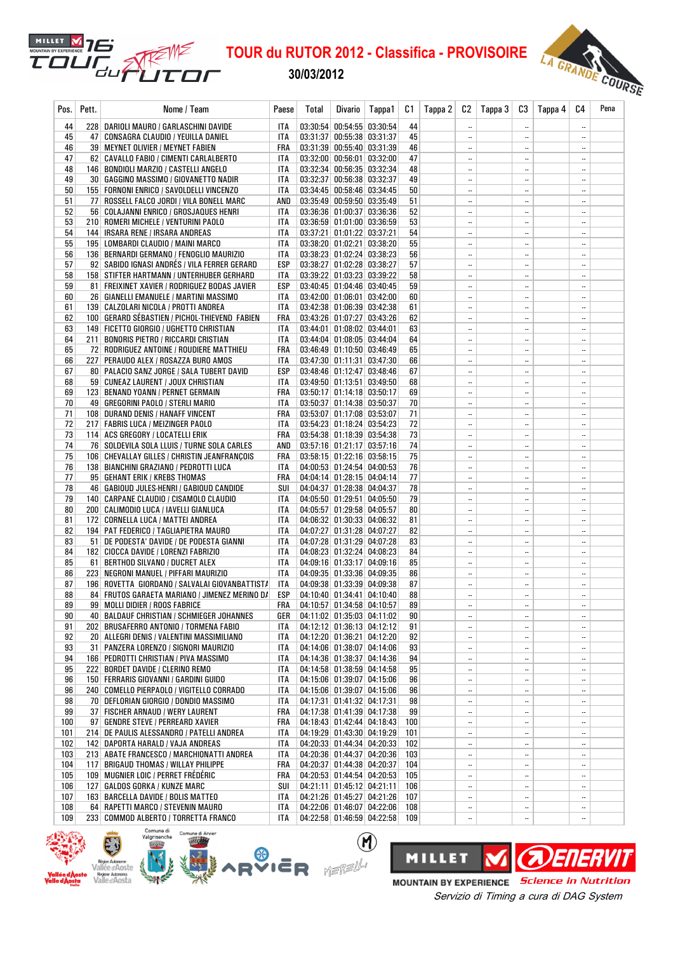30/03/2012

MILLET M 76

ียม

TO1



| Pos.       | Pett. | Nome / Team                                                                                     | Paese      | Total | Divario                                                    | Tappa1 | C1              | Tappa 2 | C2                                    | Tappa 3 | C3                                    | Tappa 4 | C4   | Pena |
|------------|-------|-------------------------------------------------------------------------------------------------|------------|-------|------------------------------------------------------------|--------|-----------------|---------|---------------------------------------|---------|---------------------------------------|---------|------|------|
| 44         |       | 228 DARIOLI MAURO / GARLASCHINI DAVIDE                                                          | ITA        |       | 03:30:54 00:54:55 03:30:54                                 |        | 44              |         | $\overline{\phantom{a}}$              |         | $\ddotsc$                             |         |      |      |
| 45         |       | 47   CONSAGRA CLAUDIO / YEUILLA DANIEL                                                          | ITA        |       | 03:31:37 00:55:38 03:31:37                                 |        | 45              |         | $\ddotsc$                             |         | $\ddotsc$                             |         |      |      |
| 46         |       | 39   MEYNET OLIVIER / MEYNET FABIEN                                                             | FRA        |       | 03:31:39 00:55:40 03:31:39                                 |        | 46              |         | $\ddotsc$                             |         | $\ddotsc$                             |         |      |      |
| 47         |       | 62   CAVALLO FABIO / CIMENTI CARLALBERTO                                                        | ITA        |       | $03:32:00$ 00:56:01 03:32:00                               |        | 47              |         | $\ddotsc$                             |         | $\ddotsc$                             |         |      |      |
| 48<br>49   |       | 146   BONDIOLI MARZIO / CASTELLI ANGELO<br>30   GAGGINO MASSIMO / GIOVANETTO NADIR              | ITA<br>ITA |       | 03:32:34 00:56:35 03:32:34<br>03:32:37 00:56:38 03:32:37   |        | 48<br>49        |         | $\ddotsc$                             |         | $\ddotsc$<br>$\ddotsc$                |         |      |      |
| 50         |       | 155   FORNONI ENRICO / SAVOLDELLI VINCENZO                                                      | <b>ITA</b> |       | 03:34:45 00:58:46 03:34:45                                 |        | 50              |         | <br>$\ddotsc$                         |         | $\ddotsc$                             |         | <br> |      |
| 51         |       | 77 ROSSELL FALCO JORDI / VILA BONELL MARC                                                       | AND        |       | 03:35:49 00:59:50 03:35:49                                 |        | 51              |         | $\overline{\phantom{a}}$              |         | $\overline{\phantom{a}}$              |         |      |      |
| 52         |       | 56   COLAJANNI ENRICO / GROSJAQUES HENRI                                                        | ITA        |       | 03:36:36 01:00:37 03:36:36                                 |        | 52              |         | $\ldots$                              |         | $\ddotsc$                             |         |      |      |
| 53         |       | 210 ROMERI MICHELE / VENTURINI PAOLO                                                            | ITA        |       | 03:36:59 01:01:00 03:36:59                                 |        | 53              |         | $\ddotsc$                             |         | $\ddotsc$                             |         |      |      |
| 54         |       | 144   IRSARA RENE / IRSARA ANDREAS                                                              | ITA        |       | 03:37:21 01:01:22 03:37:21                                 |        | 54              |         | $\ddotsc$                             |         | $\ddotsc$                             |         |      |      |
| 55         |       | 195   LOMBARDI CLAUDIO / MAINI MARCO                                                            | ITA        |       | 03:38:20 01:02:21 03:38:20                                 |        | 55              |         | $\ddotsc$                             |         | $\ddotsc$                             |         |      |      |
| 56         |       | 136   BERNARDI GERMANO / FENOGLIO MAURIZIO                                                      | <b>ITA</b> |       | 03:38:23 01:02:24 03:38:23                                 |        | 56              |         | $\ddotsc$                             |         | $\ddotsc$                             |         |      |      |
| 57         |       | 92   SABIDO IGNASI ANDRÉS / VILA FERRER GERARD                                                  | ESP        |       | 03:38:27 01:02:28 03:38:27                                 |        | 57              |         | $\ddotsc$                             |         | $\ddotsc$                             |         |      |      |
| 58<br>59   |       | 158   STIFTER HARTMANN / UNTERHUBER GERHARD<br>81   FREIXINET XAVIER / RODRIGUEZ BODAS JAVIER   | ITA<br>ESP |       | 03:39:22 01:03:23 03:39:22<br>03:40:45 01:04:46 03:40:45   |        | 58<br>59        |         | $\overline{\phantom{a}}$<br>$\ddotsc$ |         | $\ddotsc$<br>$\ddotsc$                |         | <br> |      |
| 60         |       | 26   GIANELLI EMANUELE / MARTINI MASSIMO                                                        | ITA        |       | 03:42:00 01:06:01 03:42:00                                 |        | 60              |         | $\ddotsc$                             |         | $\overline{\phantom{a}}$ .            |         |      |      |
| 61         |       | 139 CALZOLARI NICOLA / PROTTI ANDREA                                                            | ITA        |       | 03:42:38 01:06:39 03:42:38                                 |        | 61              |         | $\ddotsc$                             |         | $\ddotsc$                             |         |      |      |
| 62         |       | 100 GERARD SÉBASTIEN / PICHOL-THIEVEND FABIEN                                                   | FRA        |       | 03:43:26 01:07:27 03:43:26                                 |        | 62              |         | $\ddotsc$                             |         | $\ddotsc$                             |         |      |      |
| 63         |       | 149 FICETTO GIORGIO / UGHETTO CHRISTIAN                                                         | ITA        |       | 03:44:01 01:08:02 03:44:01                                 |        | 63              |         | $\ddotsc$                             |         | $\ddotsc$                             |         |      |      |
| 64         |       | 211 BONORIS PIETRO / RICCARDI CRISTIAN                                                          | ITA        |       | 03:44:04 01:08:05 03:44:04                                 |        | 64              |         | $\ddotsc$                             |         | $\overline{\phantom{a}}$              |         |      |      |
| 65         |       | 72 RODRIGUEZ ANTOINE / ROUDIERE MATTHIEU                                                        | FRA        |       | 03:46:49 01:10:50 03:46:49                                 |        | 65              |         | $\ddotsc$                             |         | $\ddotsc$                             |         |      |      |
| 66         |       | 227   PERAUDO ALEX / ROSAZZA BURO AMOS                                                          | ITA        |       | 03:47:30 01:11:31 03:47:30                                 |        | 66              |         | $\ddotsc$                             |         | $\ddotsc$                             |         |      |      |
| 67         |       | 80   PALACIO SANZ JORGE / SALA TUBERT DAVID                                                     | ESP        |       | $03:48:46$ 01:12:47 03:48:46                               |        | 67              |         | $\ldots$                              |         | $\ddotsc$                             |         |      |      |
| 68<br>69   |       | 59 CUNEAZ LAURENT / JOUX CHRISTIAN<br>123 BENAND YOANN / PERNET GERMAIN                         | ITA<br>FRA |       | 03:49:50 01:13:51 03:49:50<br>$03:50:17$ 01:14:18 03:50:17 |        | 68<br>69        |         | $\ddotsc$<br>$\ddotsc$                |         | $\ddotsc$<br>$\ddotsc$                |         | <br> |      |
| 70         |       | 49   GREGORINI PAOLO / STERLI MARIO                                                             | ITA        |       | 03:50:37 01:14:38 03:50:37                                 |        | 70              |         | $\ddotsc$                             |         | $\ddotsc$                             |         |      |      |
| 71         |       | 108 DURAND DENIS / HANAFF VINCENT                                                               | FRA        |       | 03:53:07 01:17:08 03:53:07                                 |        | 71              |         | $\ddotsc$                             |         | $\ddotsc$                             |         |      |      |
| 72         |       | 217 FABRIS LUCA / MEIZINGER PAOLO                                                               | ITA        |       | 03:54:23 01:18:24 03:54:23                                 |        | 72              |         | $\ddotsc$                             |         | $\ddotsc$                             |         |      |      |
| 73         |       | 114 ACS GREGORY / LOCATELLI ERIK                                                                | FRA        |       | 03:54:38 01:18:39 03:54:38                                 |        | 73              |         | $\ddotsc$                             |         | $\ddotsc$                             |         |      |      |
| 74         |       | 76   SOLDEVILA SOLA LLUIS / TURNE SOLA CARLES                                                   | AND        |       | 03:57:16 01:21:17 03:57:16                                 |        | 74              |         | $\ddotsc$                             |         | $\ddotsc$                             |         |      |      |
| 75         |       | 106 CHEVALLAY GILLES / CHRISTIN JEANFRANÇOIS                                                    | FRA        |       | 03:58:15 01:22:16 03:58:15                                 |        | 75              |         | $\ddotsc$                             |         | $\ddotsc$                             |         |      |      |
| 76         |       | 138   BIANCHINI GRAZIANO / PEDROTTI LUCA                                                        | ITA        |       | 04:00:53 01:24:54 04:00:53                                 |        | 76              |         | $\ddotsc$                             |         | $\overline{\phantom{a}}$ .            |         |      |      |
| 77         |       | 95 GEHANT ERIK / KREBS THOMAS                                                                   | FRA        |       | 04:04:14 01:28:15 04:04:14                                 |        | 77              |         | $\ddotsc$                             |         | $\ddotsc$                             |         |      |      |
| 78<br>79   |       | 46   GABIOUD JULES-HENRI / GABIOUD CANDIDE<br>140   CARPANE CLAUDIO / CISAMOLO CLAUDIO          | SUI<br>ITA |       | 04:04:37 01:28:38 04:04:37<br>04:05:50 01:29:51 04:05:50   |        | 78<br>79        |         | $\ddotsc$<br>$\ddotsc$                |         | $\ddotsc$<br>$\overline{\phantom{a}}$ |         | <br> |      |
| 80         |       | 200   CALIMODIO LUCA / IAVELLI GIANLUCA                                                         | ITA        |       | 04:05:57 01:29:58 04:05:57                                 |        | 80              |         | $\ddotsc$                             |         | $\ddotsc$                             |         |      |      |
| 81         |       | 172 CORNELLA LUCA / MATTEI ANDREA                                                               | ITA        |       | 04:06:32 01:30:33 04:06:32                                 |        | 81              |         | $\overline{\phantom{a}}$              |         | $\ddotsc$                             |         |      |      |
| 82         |       | 194   PAT FEDERICO / TAGLIAPIETRA MAURO                                                         | <b>ITA</b> |       | 04:07:27 01:31:28 04:07:27                                 |        | 82              |         | $\ddotsc$                             |         | $\ddotsc$                             |         |      |      |
| 83         |       | 51 DE PODESTA' DAVIDE / DE PODESTA GIANNI                                                       | ITA        |       | 04:07:28 01:31:29 04:07:28                                 |        | 83              |         | $\overline{\phantom{a}}$              |         | $\ddotsc$                             |         |      |      |
| 84         |       | 182 CIOCCA DAVIDE / LORENZI FABRIZIO                                                            | ITA        |       | 04:08:23 01:32:24 04:08:23                                 |        | 84              |         | $\ddotsc$                             |         | $\ddotsc$                             |         |      |      |
| 85         | 61    | BERTHOD SILVANO / DUCRET ALEX                                                                   | ITA        |       | 04:09:16 01:33:17 04:09:16                                 |        | 85              |         | $\ddotsc$                             |         | $\ddotsc$                             |         |      |      |
| 86<br>87   |       | 223 NEGRONI MANUEL / PIFFARI MAURIZIO                                                           | ITA<br>ITA |       | 04:09:35 01:33:36 04:09:35<br>04:09:38 01:33:39 04:09:38   |        | 86<br>87        |         | $\ddotsc$                             |         | $\ddotsc$                             |         |      |      |
| 88         |       | 196 ROVETTA GIORDANO / SALVALAI GIOVANBATTIST/<br>84 FRUTOS GARAETA MARIANO / JIMENEZ MERINO D/ | ESP        |       | 04:10:40 01:34:41 04:10:40                                 |        | 88              |         | $\ddotsc$<br>$\overline{\phantom{a}}$ |         | $\ddotsc$<br>$\overline{\phantom{a}}$ |         | <br> |      |
| 89         |       | 99 MOLLI DIDIER / ROOS FABRICE                                                                  | FRA        |       | 04:10:57 01:34:58 04:10:57                                 |        | 89              |         |                                       |         | $\ddotsc$                             |         |      |      |
| 90         |       | 40 BALDAUF CHRISTIAN / SCHMIEGER JOHANNES                                                       | GER        |       | 04:11:02 01:35:03 04:11:02                                 |        | 90 <sup>°</sup> |         | $\ddotsc$                             |         | $\overline{\phantom{a}}$              |         |      |      |
| 91         |       | 202 BRUSAFERRO ANTONIO / TORMENA FABIO                                                          | ITA        |       | 04:12:12 01:36:13 04:12:12                                 |        | 91              |         | $\ddotsc$                             |         | $\ddotsc$                             |         |      |      |
| 92         |       | 20 ALLEGRI DENIS / VALENTINI MASSIMILIANO                                                       | ITA        |       | 04:12:20 01:36:21 04:12:20                                 |        | 92              |         | $\ddotsc$                             |         | $\ddotsc$                             |         |      |      |
| 93         |       | 31   PANZERA LORENZO / SIGNORI MAURIZIO                                                         | ITA        |       | 04:14:06 01:38:07 04:14:06                                 |        | 93              |         | $\ddotsc$                             |         | $\ddotsc$                             |         |      |      |
| 94         |       | 166   PEDROTTI CHRISTIAN / PIVA MASSIMO                                                         | ITA        |       | 04:14:36 01:38:37 04:14:36                                 |        | 94              |         | $\ddotsc$                             |         | $\ddotsc$                             |         |      |      |
| 95         |       | 222 BORDET DAVIDE / CLERINO REMO                                                                | ITA        |       | 04:14:58 01:38:59 04:14:58                                 |        | 95              |         | $\ddotsc$                             |         | $\ddotsc$                             |         |      |      |
| 96<br>96   |       | 150 FERRARIS GIOVANNI / GARDINI GUIDO<br>240 COMELLO PIERPAOLO / VIGITELLO CORRADO              | ITA<br>ITA |       | 04:15:06 01:39:07 04:15:06<br>04:15:06 01:39:07 04:15:06   |        | 96<br>96        |         | $\ldots$<br>$\ldots$                  |         | $\ddotsc$<br>$\ddotsc$                |         | <br> |      |
| 98         |       | 70 DEFLORIAN GIORGIO / DONDIO MASSIMO                                                           | ITA        |       | 04:17:31 01:41:32 04:17:31                                 |        | 98              |         | $\ddotsc$                             |         | $\ddotsc$                             |         |      |      |
| 99         |       | 37 FISCHER ARNAUD / WERY LAURENT                                                                | FRA        |       | 04:17:38 01:41:39 04:17:38                                 |        | 99              |         | $\overline{\phantom{a}}$              |         | $\overline{\phantom{a}}$              |         |      |      |
| 100        |       | 97 GENDRE STEVE / PERREARD XAVIER                                                               | FRA        |       | 04:18:43 01:42:44 04:18:43                                 |        | 100             |         | $\ddotsc$                             |         | $\ddotsc$                             |         |      |      |
| 101        |       | 214 DE PAULIS ALESSANDRO / PATELLI ANDREA                                                       | ITA        |       | 04:19:29 01:43:30 04:19:29                                 |        | 101             |         | $\ddotsc$                             |         | $\ddotsc$                             |         |      |      |
| 102        |       | 142 DAPORTA HARALD / VAJA ANDREAS                                                               | ITA        |       | 04:20:33 01:44:34 04:20:33                                 |        | 102             |         | $\ddotsc$                             |         | $\ddotsc$                             |         |      |      |
| 103        |       | 213 ABATE FRANCESCO / MARCHIONATTI ANDREA                                                       | ITA        |       | 04:20:36 01:44:37 04:20:36                                 |        | 103             |         | $\ldots$                              |         | $\ddotsc$                             |         |      |      |
| 104        |       | 117 BRIGAUD THOMAS / WILLAY PHILIPPE<br>109 MUGNIER LOIC / PERRET FRÉDÉRIC                      | FRA<br>FRA |       | 04:20:37 01:44:38 04:20:37<br>04:20:53 01:44:54 04:20:53   |        | 104             |         | $\ldots$                              |         | $\ddotsc$                             |         |      |      |
| 105<br>106 |       | 127   GALDOS GORKA / KUNZE MARC                                                                 | SUI        |       | 04:21:11 01:45:12 04:21:11                                 |        | 105<br>106      |         | $\ddotsc$<br>$\ldots$                 |         | $\ddotsc$<br>$\ddotsc$                |         | <br> |      |
| 107        |       | 163   BARCELLA DAVIDE / BOLIS MATTEO                                                            | ITA        |       | 04:21:26 01:45:27 04:21:26                                 |        | 107             |         | $\overline{\phantom{a}}$              |         | $\ddotsc$                             |         |      |      |
| 108        |       | 64 RAPETTI MARCO / STEVENIN MAURO                                                               | ITA        |       | 04:22:06 01:46:07 04:22:06                                 |        | 108             |         | $\overline{\phantom{a}}$              |         | $\ddotsc$                             |         |      |      |
| 109        |       | 233 COMMOD ALBERTO / TORRETTA FRANCO                                                            | ITA        |       | 04:22:58 01:46:59 04:22:58 109                             |        |                 |         | $\ddotsc$                             |         | $\ddotsc$                             |         |      |      |

 $\circledR$ 





Servizio di Timing a cura di DAG System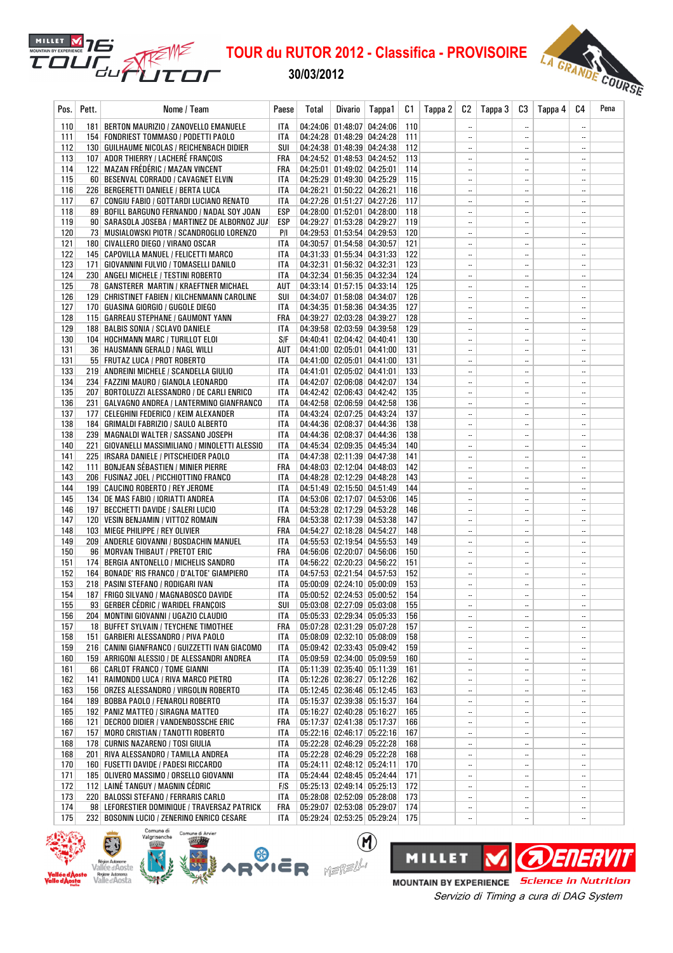30/03/2012

MILLET **M** 76

ยน คื

TO1



| Pos.       | Pett. | Nome / Team                                                                             | Paese                    | <b>Total</b> | Divario                                                  | Tappa1 | C1         | Tappa 2 | C2                                      | Tappa 3 | C3                                    | Tappa 4 | C4                       | Pena |
|------------|-------|-----------------------------------------------------------------------------------------|--------------------------|--------------|----------------------------------------------------------|--------|------------|---------|-----------------------------------------|---------|---------------------------------------|---------|--------------------------|------|
| 110        |       | 181   BERTON MAURIZIO / ZANOVELLO EMANUELE                                              | ITA                      |              | 04:24:06 01:48:07 04:24:06                               |        | 110        |         |                                         |         | $\ddotsc$                             |         |                          |      |
| 111        |       | 154   FONDRIEST TOMMASO / PODETTI PAOLO                                                 | ITA                      |              | 04:24:28 01:48:29 04:24:28                               |        | 111        |         |                                         |         | $\ddotsc$                             |         |                          |      |
| 112        |       | 130   GUILHAUME NICOLAS / REICHENBACH DIDIER                                            | SUI                      |              | 04:24:38 01:48:39 04:24:38                               |        | 112        |         | $\ldots$                                |         | $\overline{\phantom{a}}$              |         |                          |      |
| 113        |       | 107 ADOR THIERRY / LACHERÉ FRANCOIS                                                     | FRA                      |              | 04:24:52 01:48:53 04:24:52                               |        | 113        |         | $\ldots$                                |         | $\overline{\phantom{a}}$              |         |                          |      |
| 114        |       | 122   MAZAN FRÉDÉRIC / MAZAN VINCENT                                                    | FRA                      |              | 04:25:01 01:49:02 04:25:01                               |        | 114        |         | $\ddotsc$                               |         | $\ddotsc$                             |         |                          |      |
| 115<br>116 |       | 60 BESENVAL CORRADO / CAVAGNET ELVIN<br>226   BERGERETTI DANIELE / BERTA LUCA           | <b>ITA</b><br><b>ITA</b> |              | 04:25:29 01:49:30 04:25:29<br>04:26:21 01:50:22 04:26:21 |        | 115<br>116 |         | $\ddotsc$<br>$\overline{\phantom{a}}$ . |         | $\ddotsc$<br>$\ddotsc$                |         | $\ddotsc$<br>$\ddotsc$   |      |
| 117        |       | 67 CONGIU FABIO / GOTTARDI LUCIANO RENATO                                               | <b>ITA</b>               |              | 04:27:26 01:51:27 04:27:26                               |        | 117        |         | $\ddotsc$                               |         | $\ddotsc$                             |         |                          |      |
| 118        |       | 89   BOFILL BARGUNO FERNANDO / NADAL SOY JOAN                                           | ESP                      |              | 04:28:00 01:52:01 04:28:00                               |        | 118        |         | $\ddotsc$                               |         | $\overline{\phantom{a}}$              |         |                          |      |
| 119        |       | 90   SARASOLA JOSEBA / MARTINEZ DE ALBORNOZ JU/                                         | ESP                      |              | 04:29:27 01:53:28 04:29:27                               |        | 119        |         | $\ldots$                                |         | $\ldots$                              |         |                          |      |
| 120        |       | 73 MUSIALOWSKI PIOTR / SCANDROGLIO LORENZO                                              | P/I                      |              | 04:29:53 01:53:54 04:29:53                               |        | 120        |         | $\ddotsc$                               |         | $\ddotsc$                             |         | $\ldots$                 |      |
| 121        |       | 180 CIVALLERO DIEGO / VIRANO OSCAR                                                      | ITA                      |              | 04:30:57 01:54:58 04:30:57                               |        | 121        |         | $\ddotsc$                               |         | $\ddotsc$                             |         |                          |      |
| 122        |       | 145   CAPOVILLA MANUEL / FELICETTI MARCO                                                | ITA                      |              | 04:31:33 01:55:34 04:31:33                               |        | 122        |         | $\ldots$                                |         |                                       |         |                          |      |
| 123        |       | 171   GIOVANNINI FULVIO / TOMASELLI DANILO                                              | <b>ITA</b>               |              | 04:32:31 01:56:32 04:32:31                               |        | 123        |         | $\ddotsc$                               |         | $\ddotsc$                             |         |                          |      |
| 124        |       | 230   ANGELI MICHELE / TESTINI ROBERTO                                                  | <b>ITA</b>               |              | 04:32:34 01:56:35 04:32:34                               |        | 124        |         | $\ddotsc$                               |         | $\ddotsc$                             |         | $\overline{\phantom{a}}$ |      |
| 125<br>126 |       | 78 GANSTERER MARTIN / KRAEFTNER MICHAEL<br>129 CHRISTINET FABIEN / KILCHENMANN CAROLINE | AUT<br>SUI               |              | 04:33:14 01:57:15 04:33:14<br>04:34:07 01:58:08 04:34:07 |        | 125<br>126 |         | $\ldots$<br>$\ldots$                    |         | $\overline{\phantom{a}}$<br>$\ddotsc$ |         | <br>                     |      |
| 127        |       | 170   GUASINA GIORGIO / GUGOLE DIEGO                                                    | ITA                      |              | 04:34:35 01:58:36 04:34:35                               |        | 127        |         | $\ddotsc$                               |         | $\ddotsc$                             |         | $\ldots$                 |      |
| 128        |       | 115   GARREAU STEPHANE / GAUMONT YANN                                                   | FRA                      |              | 04:39:27 02:03:28 04:39:27                               |        | 128        |         | $\ddotsc$                               |         | $\overline{\phantom{a}}$              |         |                          |      |
| 129        |       | 188   BALBIS SONIA / SCLAVO DANIELE                                                     | ITA                      |              | 04:39:58 02:03:59 04:39:58                               |        | 129        |         | $\ddotsc$                               |         | $\ddotsc$                             |         |                          |      |
| 130        |       | 104 HOCHMANN MARC / TURILLOT ELOI                                                       | S/F                      |              | 04:40:41 02:04:42 04:40:41                               |        | 130        |         | $\ddotsc$                               |         | $\ddotsc$                             |         |                          |      |
| 131        |       | 36   HAUSMANN GERALD / NAGL WILLI                                                       | AUT                      |              | 04:41:00 02:05:01 04:41:00                               |        | 131        |         | $\ddotsc$                               |         | $\ddotsc$                             |         | $\ddotsc$                |      |
| 131        |       | 55 FRUTAZ LUCA / PROT ROBERTO                                                           | <b>ITA</b>               |              | 04:41:00 02:05:01 04:41:00                               |        | 131        |         | $\ddotsc$                               |         | $\ddotsc$                             |         | $\overline{\phantom{a}}$ |      |
| 133        |       | 219 ANDREINI MICHELE / SCANDELLA GIULIO                                                 | ITA                      |              | 04:41:01 02:05:02 04:41:01                               |        | 133        |         | $\ddotsc$                               |         | $\overline{\phantom{a}}$              |         |                          |      |
| 134        |       | 234   FAZZINI MAURO / GIANOLA LEONARDO                                                  | <b>ITA</b>               |              | 04:42:07 02:06:08 04:42:07                               |        | 134        |         | $\overline{\phantom{a}}$                |         | $\ddotsc$                             |         | $\ldots$                 |      |
| 135        |       | 207   BORTOLUZZI ALESSANDRO / DE CARLI ENRICO                                           | ITA                      |              | 04:42:42 02:06:43 04:42:42                               |        | 135        |         | $\ddotsc$                               |         | $\ddotsc$                             |         | $\ddotsc$                |      |
| 136<br>137 |       | 231   GALVAGNO ANDREA / LANTERMINO GIANFRANCO                                           | ITA                      |              | 04:42:58 02:06:59 04:42:58<br>04:43:24 02:07:25 04:43:24 |        | 136<br>137 |         | $\ddotsc$<br>$\ddotsc$                  |         | $\ddotsc$<br>$\ddotsc$                |         | <br>                     |      |
| 138        |       | 177   CELEGHINI FEDERICO / KEIM ALEXANDER<br>184   GRIMALDI FABRIZIO / SAULO ALBERTO    | ITA<br><b>ITA</b>        |              | 04:44:36 02:08:37 04:44:36                               |        | 138        |         | $\ddotsc$                               |         | $\ddotsc$                             |         | $\overline{\phantom{a}}$ |      |
| 138        |       | 239 MAGNALDI WALTER / SASSANO JOSEPH                                                    | <b>ITA</b>               |              | 04:44:36 02:08:37 04:44:36                               |        | 138        |         | $\ddotsc$                               |         | $\ddotsc$                             |         |                          |      |
| 140        |       | 221   GIOVANELLI MASSIMILIANO / MINOLETTI ALESSIO                                       | ITA                      |              | 04:45:34 02:09:35 04:45:34                               |        | 140        |         | $\ddotsc$                               |         | $\overline{\phantom{a}}$              |         |                          |      |
| 141        |       | 225   IRSARA DANIELE / PITSCHEIDER PAOLO                                                | ITA                      |              | 04:47:38 02:11:39 04:47:38                               |        | 141        |         | $\overline{\phantom{a}}$                |         | $\ddotsc$                             |         | $\ldots$                 |      |
| 142        |       | 111 BONJEAN SÉBASTIEN / MINIER PIERRE                                                   | FRA                      |              | 04:48:03 02:12:04 04:48:03                               |        | 142        |         | $\ldots$                                |         | $\overline{\phantom{a}}$              |         |                          |      |
| 143        |       | 206   FUSINAZ JOEL / PICCHIOTTINO FRANCO                                                | ITA                      |              | 04:48:28 02:12:29 04:48:28                               |        | 143        |         | $\ddotsc$                               |         | $\overline{\phantom{a}}$              |         |                          |      |
| 144        |       | 199 CAUCINO ROBERTO / REY JEROME                                                        | ITA                      |              | 04:51:49 02:15:50 04:51:49                               |        | 144        |         | $\ddotsc$                               |         | $\ddotsc$                             |         |                          |      |
| 145        |       | 134 DE MAS FABIO / IORIATTI ANDREA                                                      | ITA                      |              | 04:53:06 02:17:07 04:53:06                               |        | 145        |         | $\ldots$                                |         |                                       |         | Ξ.                       |      |
| 146<br>147 |       | 197   BECCHETTI DAVIDE / SALERI LUCIO<br>120   VESIN BENJAMIN / VITTOZ ROMAIN           | ITA<br>FRA               |              | 04:53:28 02:17:29 04:53:28<br>04:53:38 02:17:39 04:53:38 |        | 146<br>147 |         | $\ddotsc$<br>$\ddotsc$                  |         | $\ddotsc$<br>$\ddotsc$                |         | $\ddotsc$<br>$\ddotsc$   |      |
| 148        |       | 103   MIEGE PHILIPPE / REY OLIVIER                                                      | FRA                      |              | 04:54:27 02:18:28 04:54:27                               |        | 148        |         |                                         |         | $\overline{\phantom{a}}$              |         |                          |      |
| 149        |       | 209   ANDERLE GIOVANNI / BOSDACHIN MANUEL                                               | ITA                      |              | 04:55:53 02:19:54 04:55:53                               |        | 149        |         | $\ldots$                                |         | $\overline{\phantom{a}}$              |         |                          |      |
| 150        |       | 96 MORVAN THIBAUT / PRETOT ERIC                                                         | FRA                      |              | 04:56:06 02:20:07 04:56:06                               |        | 150        |         | $\ddotsc$                               |         | $\overline{\phantom{a}}$              |         | $\ldots$                 |      |
| 151        |       | 174 BERGIA ANTONELLO / MICHELIS SANDRO                                                  | ITA                      |              | 04:56:22 02:20:23 04:56:22                               |        | 151        |         | $\ldots$                                |         | $\ddotsc$                             |         |                          |      |
| 152        |       | 164 BONADE' RIS FRANCO / D'ALTOE' GIAMPIERO                                             | ITA                      |              | 04:57:53 02:21:54 04:57:53                               |        | 152        |         | $\ddotsc$                               |         | $\ddotsc$                             |         |                          |      |
| 153        |       | 218   PASINI STEFANO / RODIGARI IVAN                                                    | <b>ITA</b>               |              | 05:00:09 02:24:10 05:00:09                               |        | 153        |         | $\overline{\phantom{a}}$                |         | $\ddotsc$                             |         |                          |      |
| 154        |       | 187 FRIGO SILVANO / MAGNABOSCO DAVIDE                                                   | <b>ITA</b>               |              | 05:00:52 02:24:53 05:00:52                               |        | 154        |         | $\ddotsc$                               |         | $\ddotsc$                             |         | $\ddotsc$                |      |
| 155<br>156 |       | 93 GERBER CÉDRIC / WARIDEL FRANÇOIS<br>204 MONTINI GIOVANNI / UGAZIO CLAUDIO            | SUI<br>ITA               |              | 05:03:08 02:27:09 05:03:08<br>05:05:33 02:29:34 05:05:33 |        | 155<br>156 |         | <br>$\ddotsc$                           |         | $\overline{\phantom{a}}$<br>$\ddotsc$ |         | <br>$\ldots$             |      |
| 157        |       | 18 BUFFET SYLVAIN / TEYCHENE TIMOTHEE                                                   | FRA                      |              | 05:07:28 02:31:29 05:07:28                               |        | 157        |         | $\ddotsc$                               |         | $\ddotsc$                             |         | $\ddotsc$                |      |
| 158        |       | 151   GARBIERI ALESSANDRO / PIVA PAOLO                                                  | ITA                      |              | 05:08:09 02:32:10 05:08:09                               |        | 158        |         | $\ddotsc$                               |         | $\ddotsc$                             |         |                          |      |
| 159        |       | 216 CANINI GIANFRANCO / GUIZZETTI IVAN GIACOMO                                          | ITA                      |              | 05:09:42 02:33:43 05:09:42                               |        | 159        |         | $\overline{\phantom{a}}$                |         | $\overline{\phantom{a}}$              |         |                          |      |
| 160        |       | 159 ARRIGONI ALESSIO / DE ALESSANDRI ANDREA                                             | ITA                      |              | 05:09:59 02:34:00 05:09:59                               |        | 160        |         | $\ddotsc$                               |         | $\ddotsc$                             |         |                          |      |
| 161        |       | 66   CARLOT FRANCO / TOME GIANNI                                                        | ITA                      |              | 05:11:39 02:35:40 05:11:39                               |        | 161        |         | $\ddotsc$                               |         | $\ddotsc$                             |         | $\ddotsc$                |      |
| 162        |       | 141   RAIMONDO LUCA / RIVA MARCO PIETRO                                                 | ITA                      |              | 05:12:26 02:36:27 05:12:26                               |        | 162        |         | $\ddotsc$                               |         | $\ddotsc$                             |         | $\ldots$                 |      |
| 163        |       | 156   ORZES ALESSANDRO / VIRGOLIN ROBERTO                                               | ITA                      |              | 05:12:45 02:36:46 05:12:45                               |        | 163        |         | $\ddotsc$                               |         | $\ddotsc$                             |         | $\ddotsc$                |      |
| 164<br>165 |       | 189   BOBBA PAOLO / FENAROLI ROBERTO<br>192 PANIZ MATTEO / SIRAGNA MATTEO               | ITA<br>ITA               |              | 05:15:37 02:39:38 05:15:37<br>05:16:27 02:40:28 05:16:27 |        | 164<br>165 |         | $\ddotsc$<br>$\ddotsc$                  |         | $\ldots$<br>$\ddotsc$                 |         | <br>                     |      |
| 166        |       | 121 DECROO DIDIER / VANDENBOSSCHE ERIC                                                  | FRA                      |              | 05:17:37 02:41:38 05:17:37                               |        | 166        |         | $\overline{\phantom{a}}$                |         | $\ddotsc$                             |         |                          |      |
| 167        |       | 157   MORO CRISTIAN / TANOTTI ROBERTO                                                   | ITA                      |              | 05:22:16 02:46:17 05:22:16                               |        | 167        |         | $\ddotsc$                               |         | $\overline{\phantom{a}}$              |         |                          |      |
| 168        |       | 178 CURNIS NAZARENO / TOSI GIULIA                                                       | ITA                      |              | 05:22:28 02:46:29 05:22:28                               |        | 168        |         | $\ddotsc$                               |         | $\ddotsc$                             |         | $\ddotsc$                |      |
| 168        |       | 201 RIVA ALESSANDRO / TAMILLA ANDREA                                                    | ITA                      |              | 05:22:28 02:46:29 05:22:28                               |        | 168        |         | $\ddotsc$                               |         | $\ddotsc$                             |         |                          |      |
| 170        |       | 160 FUSETTI DAVIDE / PADESI RICCARDO                                                    | ITA                      |              | 05:24:11 02:48:12 05:24:11                               |        | 170        |         | $\ddotsc$                               |         | $\ddotsc$                             |         | $\ldots$                 |      |
| 171        |       | 185   OLIVERO MASSIMO / ORSELLO GIOVANNI                                                | ITA                      |              | 05:24:44 02:48:45 05:24:44                               |        | 171        |         | $\ddotsc$                               |         | $\ldots$                              |         |                          |      |
| 172        |       | 112 LAINÉ TANGUY / MAGNIN CÉDRIC                                                        | F/S                      |              | 05:25:13 02:49:14 05:25:13                               |        | 172        |         | $\ddotsc$                               |         | $\ddotsc$                             |         | $\ldots$                 |      |
| 173<br>174 |       | 220 BALOSSI STEFANO / FERRARIS CARLO<br>98 LEFORESTIER DOMINIQUE / TRAVERSAZ PATRICK    | ITA<br>FRA               |              | 05:28:08 02:52:09 05:28:08<br>05:29:07 02:53:08 05:29:07 |        | 173<br>174 |         | $\ldots$<br>                            |         | $\ldots$<br>$\ddotsc$                 |         | <br>                     |      |
| 175        |       | 232 BOSONIN LUCIO / ZENERINO ENRICO CESARE                                              | ITA                      |              | 05:29:24 02:53:25 05:29:24 175                           |        |            |         | $\ddotsc$                               |         | $\ddotsc$                             |         | $\ldots$                 |      |
|            |       |                                                                                         |                          |              |                                                          |        |            |         |                                         |         |                                       |         |                          |      |

 $\circledR$ 





Servizio di Timing a cura di DAG System